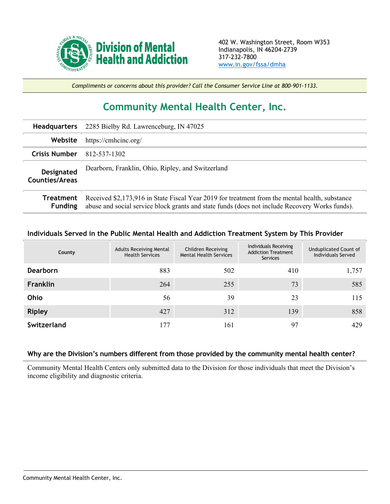

*Compliments or concerns about this provider? Call the Consumer Service Line at 800-901-1133.*

## **Community Mental Health Center, Inc.**

| <b>Headquarters</b>          | 2285 Bielby Rd. Lawrenceburg, IN 47025                                                                                                                                                           |
|------------------------------|--------------------------------------------------------------------------------------------------------------------------------------------------------------------------------------------------|
| Website                      | https://cmhcinc.org/                                                                                                                                                                             |
| <b>Crisis Number</b>         | 812-537-1302                                                                                                                                                                                     |
| Designated<br>Counties/Areas | Dearborn, Franklin, Ohio, Ripley, and Switzerland                                                                                                                                                |
| Treatment<br><b>Funding</b>  | Received \$2,173,916 in State Fiscal Year 2019 for treatment from the mental health, substance<br>abuse and social service block grants and state funds (does not include Recovery Works funds). |

## **Individuals Served in the Public Mental Health and Addiction Treatment System by This Provider**

| County          | <b>Adults Receiving Mental</b><br><b>Health Services</b> | Children Receiving<br><b>Mental Health Services</b> | Individuals Receiving<br><b>Addiction Treatment</b><br>Services | Unduplicated Count of<br>Individuals Served |
|-----------------|----------------------------------------------------------|-----------------------------------------------------|-----------------------------------------------------------------|---------------------------------------------|
| <b>Dearborn</b> | 883                                                      | 502                                                 | 410                                                             | 1,757                                       |
| <b>Franklin</b> | 264                                                      | 255                                                 | 73                                                              | 585                                         |
| Ohio            | 56                                                       | 39                                                  | 23                                                              | 115                                         |
| <b>Ripley</b>   | 427                                                      | 312                                                 | 139                                                             | 858                                         |
| Switzerland     | 177                                                      | 161                                                 | 97                                                              | 429                                         |

## **Why are the Division's numbers different from those provided by the community mental health center?**

Community Mental Health Centers only submitted data to the Division for those individuals that meet the Division's income eligibility and diagnostic criteria.